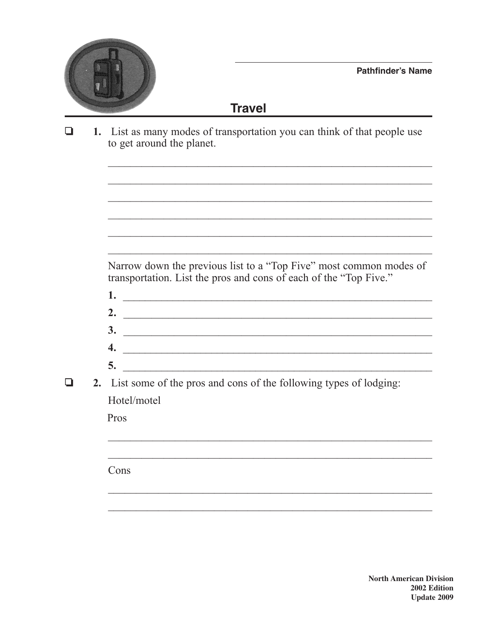

<u> 1989 - Johann John Stone, mars et al. (1989)</u>

## **Travel**

 $\Box$ 1. List as many modes of transportation you can think of that people use to get around the planet.

> Narrow down the previous list to a "Top Five" most common modes of transportation. List the pros and cons of each of the "Top Five."

- $\frac{1}{2}$  . The set of the set of the set of the set of the set of the set of the set of the set of the set of the set of the set of the set of the set of the set of the set of the set of the set of the set of the set of
- 2.  $\qquad \qquad$
- $\overline{\mathbf{3.}}$
- 
- $\overline{\phantom{a}}$
- $\Box$ 2. List some of the pros and cons of the following types of lodging: Hotel/motel

Pros

Cons

**North American Division** 2002 Edition **Update 2009**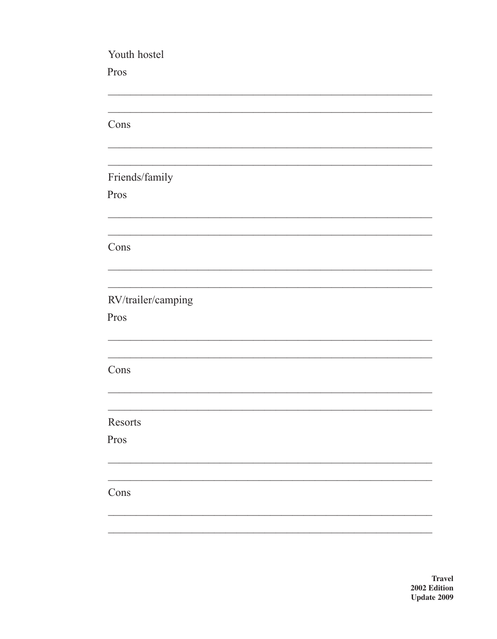Youth hostel Pros Cons Friends/family Pros Cons RV/trailer/camping Pros Cons Resorts Pros Cons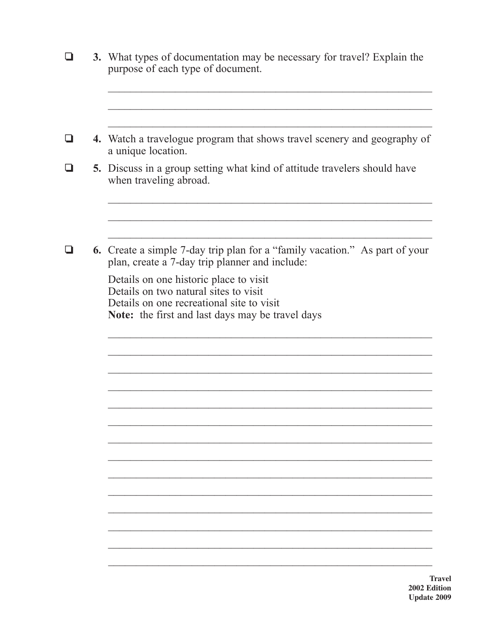|  | 3. What types of documentation may be necessary for travel? Explain the<br>purpose of each type of document.                                                                     |  |
|--|----------------------------------------------------------------------------------------------------------------------------------------------------------------------------------|--|
|  | 4. Watch a travelogue program that shows travel scenery and geography of                                                                                                         |  |
|  | a unique location.                                                                                                                                                               |  |
|  | <b>5.</b> Discuss in a group setting what kind of attitude travelers should have<br>when traveling abroad.                                                                       |  |
|  | <b>6.</b> Create a simple 7-day trip plan for a "family vacation." As part of your<br>plan, create a 7-day trip planner and include:                                             |  |
|  | Details on one historic place to visit<br>Details on two natural sites to visit<br>Details on one recreational site to visit<br>Note: the first and last days may be travel days |  |
|  | Ъ<br>2002 Ed                                                                                                                                                                     |  |

ravel lition **Update 2009**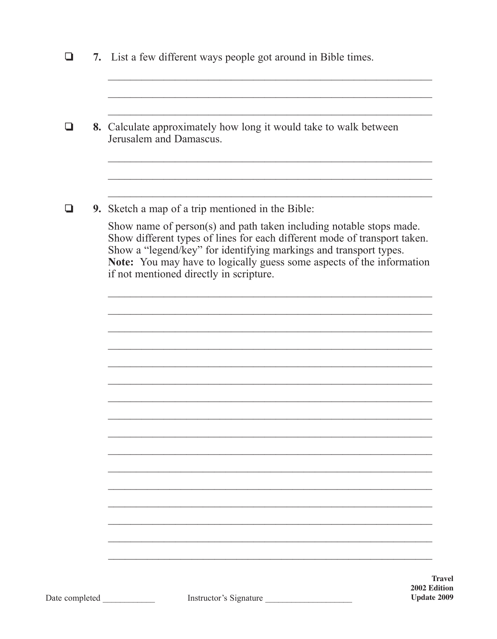| ப              | 7. List a few different ways people got around in Bible times.                                                                                                                                                                                                                                                                            |
|----------------|-------------------------------------------------------------------------------------------------------------------------------------------------------------------------------------------------------------------------------------------------------------------------------------------------------------------------------------------|
|                |                                                                                                                                                                                                                                                                                                                                           |
| ❏              | 8. Calculate approximately how long it would take to walk between<br>Jerusalem and Damascus.                                                                                                                                                                                                                                              |
| ❏              | 9. Sketch a map of a trip mentioned in the Bible:                                                                                                                                                                                                                                                                                         |
|                | Show name of person(s) and path taken including notable stops made.<br>Show different types of lines for each different mode of transport taken.<br>Show a "legend/key" for identifying markings and transport types.<br>Note: You may have to logically guess some aspects of the information<br>if not mentioned directly in scripture. |
|                |                                                                                                                                                                                                                                                                                                                                           |
|                |                                                                                                                                                                                                                                                                                                                                           |
|                |                                                                                                                                                                                                                                                                                                                                           |
|                |                                                                                                                                                                                                                                                                                                                                           |
|                |                                                                                                                                                                                                                                                                                                                                           |
|                |                                                                                                                                                                                                                                                                                                                                           |
|                |                                                                                                                                                                                                                                                                                                                                           |
|                | <b>Travel</b>                                                                                                                                                                                                                                                                                                                             |
| Date completed | 2002 Edition<br>Instructor's Signature<br><b>Update 2009</b>                                                                                                                                                                                                                                                                              |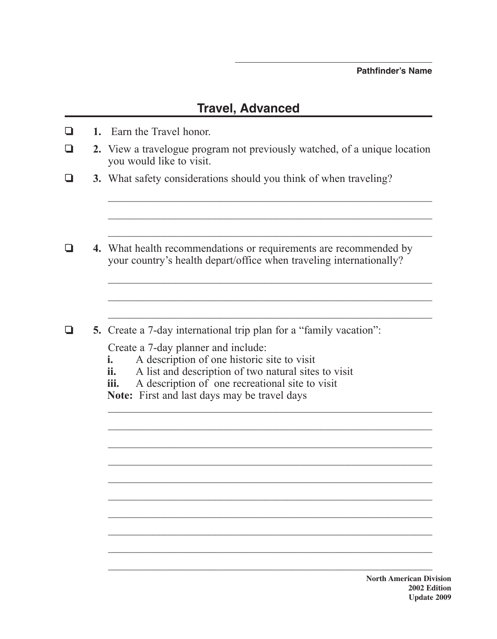## **Travel, Advanced**

- ❏ **1.** Earn the Travel honor.
- ❏ **2.** View a travelogue program not previously watched, of a unique location you would like to visit.

 $\mathcal{L}_\text{max}$  , and the contract of the contract of the contract of the contract of the contract of the contract of the contract of the contract of the contract of the contract of the contract of the contract of the contr

 $\mathcal{L}_\text{max}$  and the contract of the contract of the contract of the contract of the contract of the contract of

 $\mathcal{L}_\text{max}$  , and the contract of the contract of the contract of the contract of the contract of the contract of the contract of the contract of the contract of the contract of the contract of the contract of the contr

 $\mathcal{L}_\text{max}$  , and the contract of the contract of the contract of the contract of the contract of the contract of the contract of the contract of the contract of the contract of the contract of the contract of the contr

 $\mathcal{L}_\text{max}$  , and the contract of the contract of the contract of the contract of the contract of the contract of the contract of the contract of the contract of the contract of the contract of the contract of the contr

 $\mathcal{L}_\text{max}$  and the contract of the contract of the contract of the contract of the contract of the contract of

 $\mathcal{L}_\text{max}$  , and the contract of the contract of the contract of the contract of the contract of the contract of the contract of the contract of the contract of the contract of the contract of the contract of the contr

 $\mathcal{L}_\text{max}$  , and the contribution of the contribution of the contribution of the contribution of the contribution of the contribution of the contribution of the contribution of the contribution of the contribution of t

 $\mathcal{L}_\text{max}$  and the contract of the contract of the contract of the contract of the contract of the contract of

- ❏ **3.** What safety considerations should you think of when traveling?
- ❏ **4.** What health recommendations or requirements are recommended by your country's health depart/office when traveling internationally?
- ❏ **5.** Create a 7-day international trip plan for a "family vacation":

Create a 7-day planner and include:

- **i.** A description of one historic site to visit
- **ii.** A list and description of two natural sites to visit
- **iii.** A description of one recreational site to visit

**Note:** First and last days may be travel days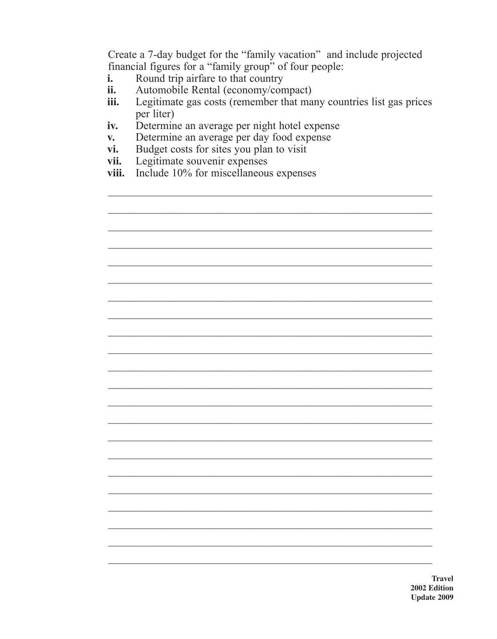Create a 7-day budget for the "family vacation" and include projected financial figures for a "family group" of four people:

- Round trip airfare to that country  $\mathbf{i}$ .
- Automobile Rental (economy/compact) ii.
- Legitimate gas costs (remember that many countries list gas prices iii. per liter)
- Determine an average per night hotel expense iv.
- Determine an average per day food expense  $V_{\bullet}$
- Budget costs for sites you plan to visit vi.
- Legitimate souvenir expenses vii.
- Include 10% for miscellaneous expenses viii.